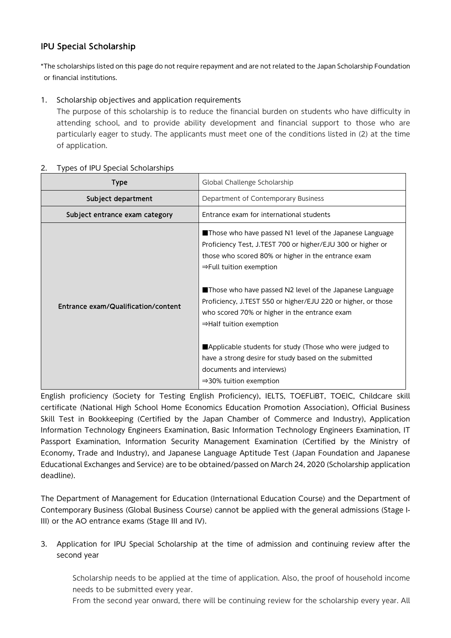## IPU Special Scholarship

\*The scholarships listed on this page do not require repayment and are not related to the Japan Scholarship Foundation or financial institutions.

## 1. Scholarship objectives and application requirements

The purpose of this scholarship is to reduce the financial burden on students who have difficulty in attending school, and to provide ability development and financial support to those who are particularly eager to study. The applicants must meet one of the conditions listed in (2) at the time of application.

## 2. Types of IPU Special Scholarships

| <b>Type</b>                         | Global Challenge Scholarship                                                                                                                                                                                                                                                                                                                                                                                                                                                                                                                                                                                                       |
|-------------------------------------|------------------------------------------------------------------------------------------------------------------------------------------------------------------------------------------------------------------------------------------------------------------------------------------------------------------------------------------------------------------------------------------------------------------------------------------------------------------------------------------------------------------------------------------------------------------------------------------------------------------------------------|
| Subject department                  | Department of Contemporary Business                                                                                                                                                                                                                                                                                                                                                                                                                                                                                                                                                                                                |
| Subject entrance exam category      | Entrance exam for international students                                                                                                                                                                                                                                                                                                                                                                                                                                                                                                                                                                                           |
| Entrance exam/Qualification/content | Those who have passed N1 level of the Japanese Language<br>Proficiency Test, J.TEST 700 or higher/EJU 300 or higher or<br>those who scored 80% or higher in the entrance exam<br>$\Rightarrow$ Full tuition exemption<br>Those who have passed N2 level of the Japanese Language<br>Proficiency, J.TEST 550 or higher/EJU 220 or higher, or those<br>who scored 70% or higher in the entrance exam<br>$\Rightarrow$ Half tuition exemption<br>Applicable students for study (Those who were judged to<br>have a strong desire for study based on the submitted<br>documents and interviews)<br>$\Rightarrow$ 30% tuition exemption |

English proficiency (Society for Testing English Proficiency), IELTS, TOEFLiBT, TOEIC, Childcare skill certificate (National High School Home Economics Education Promotion Association), Official Business Skill Test in Bookkeeping (Certified by the Japan Chamber of Commerce and Industry), Application Information Technology Engineers Examination, Basic Information Technology Engineers Examination, IT Passport Examination, Information Security Management Examination (Certified by the Ministry of Economy, Trade and Industry), and Japanese Language Aptitude Test (Japan Foundation and Japanese Educational Exchanges and Service) are to be obtained/passed on March 24, 2020 (Scholarship application deadline).

The Department of Management for Education (International Education Course) and the Department of Contemporary Business (Global Business Course) cannot be applied with the general admissions (Stage I-III) or the AO entrance exams (Stage III and IV).

## 3. Application for IPU Special Scholarship at the time of admission and continuing review after the second year

Scholarship needs to be applied at the time of application. Also, the proof of household income needs to be submitted every year.

From the second year onward, there will be continuing review for the scholarship every year. All